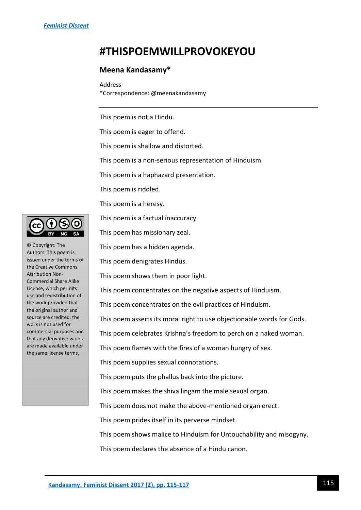## **#THISPOEMWILLPROVOKEYOU**

## **Meena Kandasamy\***

Address \*Correspondence: @meenakandasamy

This poem is not a Hindu.

This poem is eager to offend.

This poem is shallow and distorted.

This poem is a non-serious representation of Hinduism.

This poem is a haphazard presentation.

This poem is riddled.

This poem is a heresy.

This poem is a factual inaccuracy.

This poem has missionary zeal.

This poem has a hidden agenda.

This poem denigrates Hindus.

This poem shows them in poor light.

This poem concentrates on the negative aspects of Hinduism.

This poem concentrates on the evil practices of Hinduism.

This poem asserts its moral right to use objectionable words for Gods.

This poem celebrates Krishna's freedom to perch on a naked woman.

This poem flames with the fires of a woman hungry of sex.

This poem supplies sexual connotations.

This poem puts the phallus back into the picture.

This poem makes the shiva lingam the male sexual organ.

This poem does not make the above-mentioned organ erect.

This poem prides itself in its perverse mindset.

This poem shows malice to Hinduism for Untouchability and misogyny.

This poem declares the absence of a Hindu canon.



© Copyright: The Authors. This poem is issued under the terms of the Creative Commons Attribution Non-Commercial Share Alike License, which permits use and redistribution of the work provided that the original author and source are credited, the work is not used for commercial purposes and that any derivative works are made available under the same license terms.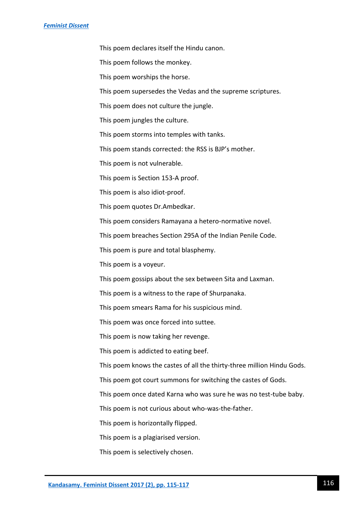This poem declares itself the Hindu canon.

This poem follows the monkey.

This poem worships the horse.

This poem supersedes the Vedas and the supreme scriptures.

This poem does not culture the jungle.

This poem jungles the culture.

This poem storms into temples with tanks.

This poem stands corrected: the RSS is BJP's mother.

This poem is not vulnerable.

This poem is Section 153-A proof.

This poem is also idiot-proof.

This poem quotes Dr.Ambedkar.

This poem considers Ramayana a hetero-normative novel.

This poem breaches Section 295A of the Indian Penile Code.

This poem is pure and total blasphemy.

This poem is a voyeur.

This poem gossips about the sex between Sita and Laxman.

This poem is a witness to the rape of Shurpanaka.

This poem smears Rama for his suspicious mind.

This poem was once forced into suttee.

This poem is now taking her revenge.

This poem is addicted to eating beef.

This poem knows the castes of all the thirty-three million Hindu Gods.

This poem got court summons for switching the castes of Gods.

This poem once dated Karna who was sure he was no test-tube baby.

This poem is not curious about who-was-the-father.

This poem is horizontally flipped.

This poem is a plagiarised version.

This poem is selectively chosen.